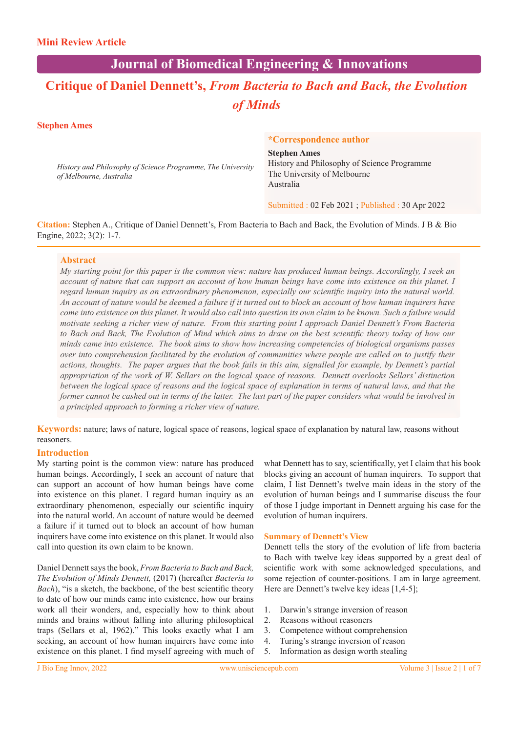# **Journal of Biomedical Engineering & Innovations**

# **Critique of Daniel Dennett's,** *From Bacteria to Bach and Back, the Evolution of Minds*

#### **Stephen Ames**

*History and Philosophy of Science Programme, The University of Melbourne, Australia*

#### **\*Correspondence author**

**Stephen Ames** History and Philosophy of Science Programme The University of Melbourne Australia

Submitted : 02 Feb 2021 ; Published : 30 Apr 2022

**Citation:** Stephen A., Critique of Daniel Dennett's, From Bacteria to Bach and Back, the Evolution of Minds. J B & Bio Engine, 2022; 3(2): 1-7.

#### **Abstract**

*My starting point for this paper is the common view: nature has produced human beings. Accordingly, I seek an account of nature that can support an account of how human beings have come into existence on this planet. I regard human inquiry as an extraordinary phenomenon, especially our scientific inquiry into the natural world. An account of nature would be deemed a failure if it turned out to block an account of how human inquirers have come into existence on this planet. It would also call into question its own claim to be known. Such a failure would motivate seeking a richer view of nature. From this starting point I approach Daniel Dennett's From Bacteria to Bach and Back, The Evolution of Mind which aims to draw on the best scientific theory today of how our minds came into existence. The book aims to show how increasing competencies of biological organisms passes over into comprehension facilitated by the evolution of communities where people are called on to justify their actions, thoughts. The paper argues that the book fails in this aim, signalled for example, by Dennett's partial appropriation of the work of W. Sellars on the logical space of reasons. Dennett overlooks Sellars' distinction between the logical space of reasons and the logical space of explanation in terms of natural laws, and that the former cannot be cashed out in terms of the latter. The last part of the paper considers what would be involved in a principled approach to forming a richer view of nature.* 

**Keywords:** nature; laws of nature, logical space of reasons, logical space of explanation by natural law, reasons without reasoners.

#### **Introduction**

My starting point is the common view: nature has produced human beings. Accordingly, I seek an account of nature that can support an account of how human beings have come into existence on this planet. I regard human inquiry as an extraordinary phenomenon, especially our scientific inquiry into the natural world. An account of nature would be deemed a failure if it turned out to block an account of how human inquirers have come into existence on this planet. It would also call into question its own claim to be known.

Daniel Dennett says the book, *From Bacteria to Bach and Back, The Evolution of Minds Dennett,* (2017) (hereafter *Bacteria to Bach*), "is a sketch, the backbone, of the best scientific theory to date of how our minds came into existence, how our brains work all their wonders, and, especially how to think about minds and brains without falling into alluring philosophical traps (Sellars et al, 1962)." This looks exactly what I am seeking, an account of how human inquirers have come into existence on this planet. I find myself agreeing with much of

what Dennett has to say, scientifically, yet I claim that his book blocks giving an account of human inquirers. To support that claim, I list Dennett's twelve main ideas in the story of the evolution of human beings and I summarise discuss the four of those I judge important in Dennett arguing his case for the evolution of human inquirers.

#### **Summary of Dennett's View**

Dennett tells the story of the evolution of life from bacteria to Bach with twelve key ideas supported by a great deal of scientific work with some acknowledged speculations, and some rejection of counter-positions. I am in large agreement. Here are Dennett's twelve key ideas [1,4-5];

- 1. Darwin's strange inversion of reason
- 2. Reasons without reasoners
- 3. Competence without comprehension
- 4. Turing's strange inversion of reason
- 5. Information as design worth stealing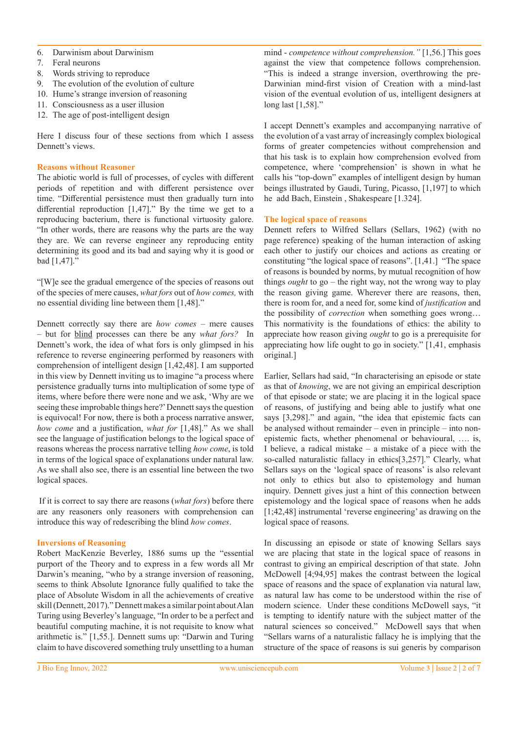- 6. Darwinism about Darwinism
- 7. Feral neurons
- 8. Words striving to reproduce
- 9. The evolution of the evolution of culture
- 10. Hume's strange inversion of reasoning
- 11. Consciousness as a user illusion
- 12. The age of post-intelligent design

Here I discuss four of these sections from which I assess Dennett's views.

#### **Reasons without Reasoner**

The abiotic world is full of processes, of cycles with different periods of repetition and with different persistence over time. "Differential persistence must then gradually turn into differential reproduction [1,47]." By the time we get to a reproducing bacterium, there is functional virtuosity galore. "In other words, there are reasons why the parts are the way they are. We can reverse engineer any reproducing entity determining its good and its bad and saying why it is good or bad [1,47]."

"[W]e see the gradual emergence of the species of reasons out of the species of mere causes, *what fors* out of *how comes,* with no essential dividing line between them [1,48]."

Dennett correctly say there are *how comes* – mere causes – but for blind processes can there be any *what fors?* In Dennett's work, the idea of what fors is only glimpsed in his reference to reverse engineering performed by reasoners with comprehension of intelligent design [1,42,48]. I am supported in this view by Dennett inviting us to imagine "a process where persistence gradually turns into multiplication of some type of items, where before there were none and we ask, 'Why are we seeing these improbable things here?' Dennett says the question is equivocal! For now, there is both a process narrative answer, *how come* and a justification, *what for* [1,48]." As we shall see the language of justification belongs to the logical space of reasons whereas the process narrative telling *how come*, is told in terms of the logical space of explanations under natural law. As we shall also see, there is an essential line between the two logical spaces.

 If it is correct to say there are reasons (*what fors*) before there are any reasoners only reasoners with comprehension can introduce this way of redescribing the blind *how comes*.

#### **Inversions of Reasoning**

Robert MacKenzie Beverley, 1886 sums up the "essential purport of the Theory and to express in a few words all Mr Darwin's meaning, "who by a strange inversion of reasoning, seems to think Absolute Ignorance fully qualified to take the place of Absolute Wisdom in all the achievements of creative skill (Dennett, 2017)." Dennett makes a similar point about Alan Turing using Beverley's language, "In order to be a perfect and beautiful computing machine, it is not requisite to know what arithmetic is." [1,55.]. Dennett sums up: "Darwin and Turing claim to have discovered something truly unsettling to a human

mind - *competence without comprehension."* [1,56.] This goes against the view that competence follows comprehension. "This is indeed a strange inversion, overthrowing the pre-Darwinian mind-first vision of Creation with a mind-last vision of the eventual evolution of us, intelligent designers at long last [1,58]."

I accept Dennett's examples and accompanying narrative of the evolution of a vast array of increasingly complex biological forms of greater competencies without comprehension and that his task is to explain how comprehension evolved from competence, where 'comprehension' is shown in what he calls his "top-down" examples of intelligent design by human beings illustrated by Gaudi, Turing, Picasso, [1,197] to which he add Bach, Einstein , Shakespeare [1.324].

#### **The logical space of reasons**

Dennett refers to Wilfred Sellars (Sellars, 1962) (with no page reference) speaking of the human interaction of asking each other to justify our choices and actions as creating or constituting "the logical space of reasons". [1,41.] "The space of reasons is bounded by norms, by mutual recognition of how things *ought* to go – the right way, not the wrong way to play the reason giving game. Wherever there are reasons, then, there is room for, and a need for, some kind of *justification* and the possibility of *correction* when something goes wrong… This normativity is the foundations of ethics: the ability to appreciate how reason giving *ought* to go is a prerequisite for appreciating how life ought to go in society." [1,41, emphasis original.]

Earlier, Sellars had said, "In characterising an episode or state as that of *knowing*, we are not giving an empirical description of that episode or state; we are placing it in the logical space of reasons, of justifying and being able to justify what one says [3,298]." and again, "the idea that epistemic facts can be analysed without remainder – even in principle – into nonepistemic facts, whether phenomenal or behavioural, …. is, I believe, a radical mistake – a mistake of a piece with the so-called naturalistic fallacy in ethics[3,257]." Clearly, what Sellars says on the 'logical space of reasons' is also relevant not only to ethics but also to epistemology and human inquiry. Dennett gives just a hint of this connection between epistemology and the logical space of reasons when he adds [1;42,48] instrumental 'reverse engineering' as drawing on the logical space of reasons.

In discussing an episode or state of knowing Sellars says we are placing that state in the logical space of reasons in contrast to giving an empirical description of that state. John McDowell [4;94,95] makes the contrast between the logical space of reasons and the space of explanation via natural law, as natural law has come to be understood within the rise of modern science. Under these conditions McDowell says, "it is tempting to identify nature with the subject matter of the natural sciences so conceived." McDowell says that when "Sellars warns of a naturalistic fallacy he is implying that the structure of the space of reasons is sui generis by comparison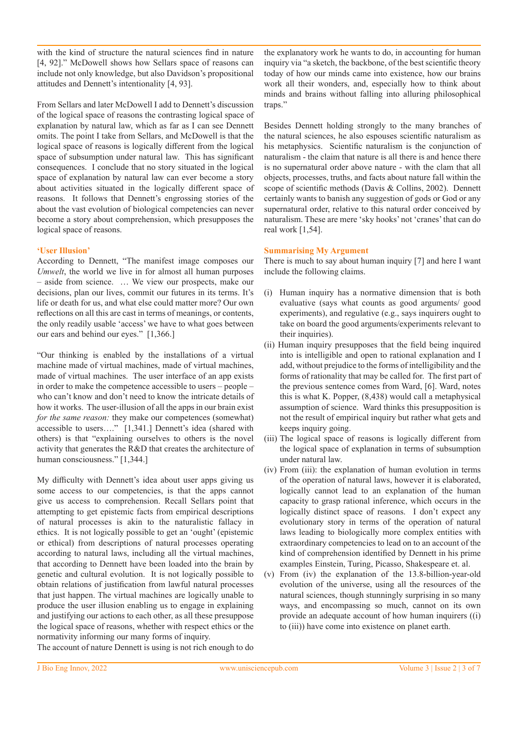with the kind of structure the natural sciences find in nature [4, 92]." McDowell shows how Sellars space of reasons can include not only knowledge, but also Davidson's propositional attitudes and Dennett's intentionality [4, 93].

From Sellars and later McDowell I add to Dennett's discussion of the logical space of reasons the contrasting logical space of explanation by natural law, which as far as I can see Dennett omits. The point I take from Sellars, and McDowell is that the logical space of reasons is logically different from the logical space of subsumption under natural law. This has significant consequences. I conclude that no story situated in the logical space of explanation by natural law can ever become a story about activities situated in the logically different space of reasons. It follows that Dennett's engrossing stories of the about the vast evolution of biological competencies can never become a story about comprehension, which presupposes the logical space of reasons.

# **'User Illusion'**

According to Dennett, "The manifest image composes our *Umwelt*, the world we live in for almost all human purposes – aside from science. … We view our prospects, make our decisions, plan our lives, commit our futures in its terms. It's life or death for us, and what else could matter more? Our own reflections on all this are cast in terms of meanings, or contents, the only readily usable 'access' we have to what goes between our ears and behind our eyes." [1,366.]

"Our thinking is enabled by the installations of a virtual machine made of virtual machines, made of virtual machines, made of virtual machines. The user interface of an app exists in order to make the competence accessible to users – people – who can't know and don't need to know the intricate details of how it works. The user-illusion of all the apps in our brain exist *for the same reason:* they make our competences (somewhat) accessible to users…." [1,341.] Dennett's idea (shared with others) is that "explaining ourselves to others is the novel activity that generates the R&D that creates the architecture of human consciousness." [1,344.]

My difficulty with Dennett's idea about user apps giving us some access to our competencies, is that the apps cannot give us access to comprehension. Recall Sellars point that attempting to get epistemic facts from empirical descriptions of natural processes is akin to the naturalistic fallacy in ethics. It is not logically possible to get an 'ought' (epistemic or ethical) from descriptions of natural processes operating according to natural laws, including all the virtual machines, that according to Dennett have been loaded into the brain by genetic and cultural evolution. It is not logically possible to obtain relations of justification from lawful natural processes that just happen. The virtual machines are logically unable to produce the user illusion enabling us to engage in explaining and justifying our actions to each other, as all these presuppose the logical space of reasons, whether with respect ethics or the normativity informing our many forms of inquiry.

the explanatory work he wants to do, in accounting for human inquiry via "a sketch, the backbone, of the best scientific theory today of how our minds came into existence, how our brains work all their wonders, and, especially how to think about minds and brains without falling into alluring philosophical traps."

Besides Dennett holding strongly to the many branches of the natural sciences, he also espouses scientific naturalism as his metaphysics. Scientific naturalism is the conjunction of naturalism - the claim that nature is all there is and hence there is no supernatural order above nature - with the clam that all objects, processes, truths, and facts about nature fall within the scope of scientific methods (Davis & Collins, 2002). Dennett certainly wants to banish any suggestion of gods or God or any supernatural order, relative to this natural order conceived by naturalism. These are mere 'sky hooks' not 'cranes' that can do real work [1,54].

## **Summarising My Argument**

There is much to say about human inquiry [7] and here I want include the following claims.

- (i) Human inquiry has a normative dimension that is both evaluative (says what counts as good arguments/ good experiments), and regulative (e.g., says inquirers ought to take on board the good arguments/experiments relevant to their inquiries).
- (ii) Human inquiry presupposes that the field being inquired into is intelligible and open to rational explanation and I add, without prejudice to the forms of intelligibility and the forms of rationality that may be called for. The first part of the previous sentence comes from Ward, [6]. Ward, notes this is what K. Popper, (8,438) would call a metaphysical assumption of science. Ward thinks this presupposition is not the result of empirical inquiry but rather what gets and keeps inquiry going.
- (iii) The logical space of reasons is logically different from the logical space of explanation in terms of subsumption under natural law.
- (iv) From (iii): the explanation of human evolution in terms of the operation of natural laws, however it is elaborated, logically cannot lead to an explanation of the human capacity to grasp rational inference, which occurs in the logically distinct space of reasons. I don't expect any evolutionary story in terms of the operation of natural laws leading to biologically more complex entities with extraordinary competencies to lead on to an account of the kind of comprehension identified by Dennett in his prime examples Einstein, Turing, Picasso, Shakespeare et. al.
- (v) From (iv) the explanation of the 13.8-billion-year-old evolution of the universe, using all the resources of the natural sciences, though stunningly surprising in so many ways, and encompassing so much, cannot on its own provide an adequate account of how human inquirers ((i) to (iii)) have come into existence on planet earth.

The account of nature Dennett is using is not rich enough to do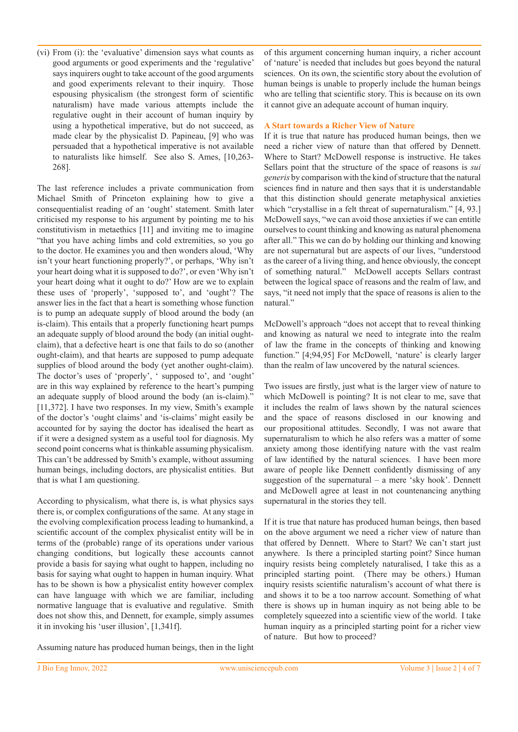(vi) From (i): the 'evaluative' dimension says what counts as good arguments or good experiments and the 'regulative' says inquirers ought to take account of the good arguments and good experiments relevant to their inquiry. Those espousing physicalism (the strongest form of scientific naturalism) have made various attempts include the regulative ought in their account of human inquiry by using a hypothetical imperative, but do not succeed, as made clear by the physicalist D. Papineau, [9] who was persuaded that a hypothetical imperative is not available to naturalists like himself. See also S. Ames, [10,263- 268].

The last reference includes a private communication from Michael Smith of Princeton explaining how to give a consequentialist reading of an 'ought' statement. Smith later criticised my response to his argument by pointing me to his constitutivism in metaethics [11] and inviting me to imagine "that you have aching limbs and cold extremities, so you go to the doctor. He examines you and then wonders aloud, 'Why isn't your heart functioning properly?', or perhaps, 'Why isn't your heart doing what it is supposed to do?', or even 'Why isn't your heart doing what it ought to do?' How are we to explain these uses of 'properly', 'supposed to', and 'ought'? The answer lies in the fact that a heart is something whose function is to pump an adequate supply of blood around the body (an is-claim). This entails that a properly functioning heart pumps an adequate supply of blood around the body (an initial oughtclaim), that a defective heart is one that fails to do so (another ought-claim), and that hearts are supposed to pump adequate supplies of blood around the body (yet another ought-claim). The doctor's uses of 'properly', ' supposed to', and 'ought' are in this way explained by reference to the heart's pumping an adequate supply of blood around the body (an is-claim)." [11,372]. I have two responses. In my view, Smith's example of the doctor's 'ought claims' and 'is-claims' might easily be accounted for by saying the doctor has idealised the heart as if it were a designed system as a useful tool for diagnosis. My second point concerns what is thinkable assuming physicalism. This can't be addressed by Smith's example, without assuming human beings, including doctors, are physicalist entities. But that is what I am questioning.

According to physicalism, what there is, is what physics says there is, or complex configurations of the same. At any stage in the evolving complexification process leading to humankind, a scientific account of the complex physicalist entity will be in terms of the (probable) range of its operations under various changing conditions, but logically these accounts cannot provide a basis for saying what ought to happen, including no basis for saying what ought to happen in human inquiry. What has to be shown is how a physicalist entity however complex can have language with which we are familiar, including normative language that is evaluative and regulative. Smith does not show this, and Dennett, for example, simply assumes it in invoking his 'user illusion', [1,341f].

of this argument concerning human inquiry, a richer account of 'nature' is needed that includes but goes beyond the natural sciences. On its own, the scientific story about the evolution of human beings is unable to properly include the human beings who are telling that scientific story. This is because on its own it cannot give an adequate account of human inquiry.

## **A Start towards a Richer View of Nature**

If it is true that nature has produced human beings, then we need a richer view of nature than that offered by Dennett. Where to Start? McDowell response is instructive. He takes Sellars point that the structure of the space of reasons is *sui generis* by comparison with the kind of structure that the natural sciences find in nature and then says that it is understandable that this distinction should generate metaphysical anxieties which "crystallise in a felt threat of supernaturalism." [4, 93.] McDowell says, "we can avoid those anxieties if we can entitle ourselves to count thinking and knowing as natural phenomena after all." This we can do by holding our thinking and knowing are not supernatural but are aspects of our lives, "understood as the career of a living thing, and hence obviously, the concept of something natural." McDowell accepts Sellars contrast between the logical space of reasons and the realm of law, and says, "it need not imply that the space of reasons is alien to the natural."

McDowell's approach "does not accept that to reveal thinking and knowing as natural we need to integrate into the realm of law the frame in the concepts of thinking and knowing function." [4;94,95] For McDowell, 'nature' is clearly larger than the realm of law uncovered by the natural sciences.

Two issues are firstly, just what is the larger view of nature to which McDowell is pointing? It is not clear to me, save that it includes the realm of laws shown by the natural sciences and the space of reasons disclosed in our knowing and our propositional attitudes. Secondly, I was not aware that supernaturalism to which he also refers was a matter of some anxiety among those identifying nature with the vast realm of law identified by the natural sciences. I have been more aware of people like Dennett confidently dismissing of any suggestion of the supernatural – a mere 'sky hook'. Dennett and McDowell agree at least in not countenancing anything supernatural in the stories they tell.

If it is true that nature has produced human beings, then based on the above argument we need a richer view of nature than that offered by Dennett. Where to Start? We can't start just anywhere. Is there a principled starting point? Since human inquiry resists being completely naturalised, I take this as a principled starting point. (There may be others.) Human inquiry resists scientific naturalism's account of what there is and shows it to be a too narrow account. Something of what there is shows up in human inquiry as not being able to be completely squeezed into a scientific view of the world. I take human inquiry as a principled starting point for a richer view of nature. But how to proceed?

Assuming nature has produced human beings, then in the light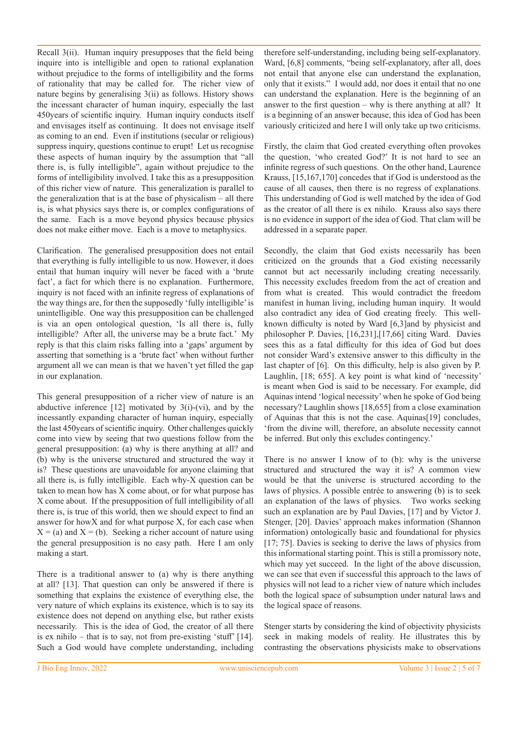Recall 3(ii). Human inquiry presupposes that the field being inquire into is intelligible and open to rational explanation without prejudice to the forms of intelligibility and the forms of rationality that may be called for. The richer view of nature begins by generalising 3(ii) as follows. History shows the incessant character of human inquiry, especially the last 450years of scientific inquiry. Human inquiry conducts itself and envisages itself as continuing. It does not envisage itself as coming to an end. Even if institutions (secular or religious) suppress inquiry, questions continue to erupt! Let us recognise these aspects of human inquiry by the assumption that "all there is, is fully intelligible", again without prejudice to the forms of intelligibility involved. I take this as a presupposition of this richer view of nature. This generalization is parallel to the generalization that is at the base of physicalism – all there is, is what physics says there is, or complex configurations of the same. Each is a move beyond physics because physics does not make either move. Each is a move to metaphysics.

Clarification. The generalised presupposition does not entail that everything is fully intelligible to us now. However, it does entail that human inquiry will never be faced with a 'brute fact', a fact for which there is no explanation. Furthermore, inquiry is not faced with an infinite regress of explanations of the way things are, for then the supposedly 'fully intelligible' is unintelligible. One way this presupposition can be challenged is via an open ontological question, 'Is all there is, fully intelligible? After all, the universe may be a brute fact.' My reply is that this claim risks falling into a 'gaps' argument by asserting that something is a 'brute fact' when without further argument all we can mean is that we haven't yet filled the gap in our explanation.

This general presupposition of a richer view of nature is an abductive inference  $[12]$  motivated by  $3(i)-(vi)$ , and by the incessantly expanding character of human inquiry, especially the last 450years of scientific inquiry. Other challenges quickly come into view by seeing that two questions follow from the general presupposition: (a) why is there anything at all? and (b) why is the universe structured and structured the way it is? These questions are unavoidable for anyone claiming that all there is, is fully intelligible. Each why-X question can be taken to mean how has X come about, or for what purpose has X come about. If the presupposition of full intelligibility of all there is, is true of this world, then we should expect to find an answer for howX and for what purpose X, for each case when  $X = (a)$  and  $X = (b)$ . Seeking a richer account of nature using the general presupposition is no easy path. Here I am only making a start.

There is a traditional answer to (a) why is there anything at all? [13]. That question can only be answered if there is something that explains the existence of everything else, the very nature of which explains its existence, which is to say its existence does not depend on anything else, but rather exists necessarily. This is the idea of God, the creator of all there is ex nihilo – that is to say, not from pre-existing 'stuff' [14]. Such a God would have complete understanding, including therefore self-understanding, including being self-explanatory. Ward, [6,8] comments, "being self-explanatory, after all, does not entail that anyone else can understand the explanation, only that it exists." I would add, nor does it entail that no one can understand the explanation. Here is the beginning of an answer to the first question – why is there anything at all? It is a beginning of an answer because, this idea of God has been variously criticized and here I will only take up two criticisms.

Firstly, the claim that God created everything often provokes the question, 'who created God?' It is not hard to see an infinite regress of such questions. On the other hand, Laurence Krauss, [15,167,170] concedes that if God is understood as the cause of all causes, then there is no regress of explanations. This understanding of God is well matched by the idea of God as the creator of all there is ex nihilo. Krauss also says there is no evidence in support of the idea of God. That clam will be addressed in a separate paper.

Secondly, the claim that God exists necessarily has been criticized on the grounds that a God existing necessarily cannot but act necessarily including creating necessarily. This necessity excludes freedom from the act of creation and from what is created. This would contradict the freedom manifest in human living, including human inquiry. It would also contradict any idea of God creating freely. This wellknown difficulty is noted by Ward [6,3]and by physicist and philosopher P. Davies, [16,231],[17,66] citing Ward. Davies sees this as a fatal difficulty for this idea of God but does not consider Ward's extensive answer to this difficulty in the last chapter of [6]. On this difficulty, help is also given by P. Laughlin, [18; 655]. A key point is what kind of 'necessity' is meant when God is said to be necessary. For example, did Aquinas intend 'logical necessity' when he spoke of God being necessary? Laughlin shows [18,655] from a close examination of Aquinas that this is not the case. Aquinas[19] concludes, 'from the divine will, therefore, an absolute necessity cannot be inferred. But only this excludes contingency.'

There is no answer I know of to (b): why is the universe structured and structured the way it is? A common view would be that the universe is structured according to the laws of physics. A possible entrée to answering (b) is to seek an explanation of the laws of physics. Two works seeking such an explanation are by Paul Davies, [17] and by Victor J. Stenger, [20]. Davies' approach makes information (Shannon information) ontologically basic and foundational for physics [17; 75]. Davies is seeking to derive the laws of physics from this informational starting point. This is still a promissory note, which may yet succeed. In the light of the above discussion, we can see that even if successful this approach to the laws of physics will not lead to a richer view of nature which includes both the logical space of subsumption under natural laws and the logical space of reasons.

Stenger starts by considering the kind of objectivity physicists seek in making models of reality. He illustrates this by contrasting the observations physicists make to observations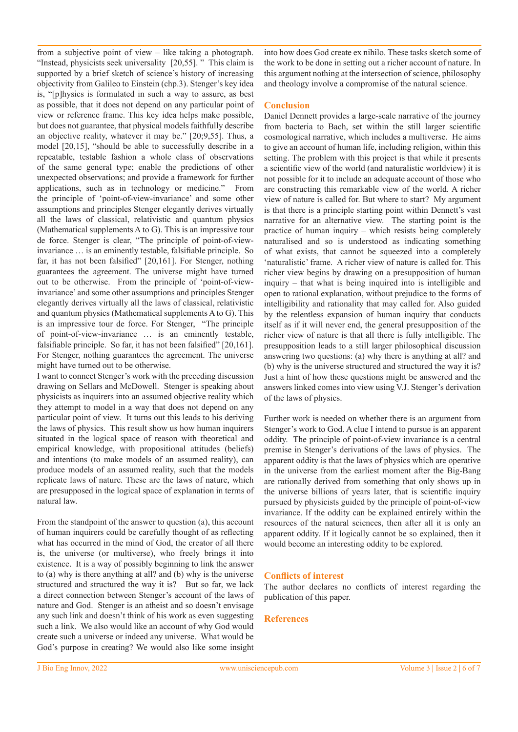from a subjective point of view – like taking a photograph. "Instead, physicists seek universality [20,55]. " This claim is supported by a brief sketch of science's history of increasing objectivity from Galileo to Einstein (chp.3). Stenger's key idea is, "[p]hysics is formulated in such a way to assure, as best as possible, that it does not depend on any particular point of view or reference frame. This key idea helps make possible, but does not guarantee, that physical models faithfully describe an objective reality, whatever it may be." [20;9,55]. Thus, a model [20,15], "should be able to successfully describe in a repeatable, testable fashion a whole class of observations of the same general type; enable the predictions of other unexpected observations; and provide a framework for further applications, such as in technology or medicine." From the principle of 'point-of-view-invariance' and some other assumptions and principles Stenger elegantly derives virtually all the laws of classical, relativistic and quantum physics (Mathematical supplements A to G). This is an impressive tour de force. Stenger is clear, "The principle of point-of-viewinvariance … is an eminently testable, falsifiable principle. So far, it has not been falsified" [20,161]. For Stenger, nothing guarantees the agreement. The universe might have turned out to be otherwise. From the principle of 'point-of-viewinvariance' and some other assumptions and principles Stenger elegantly derives virtually all the laws of classical, relativistic and quantum physics (Mathematical supplements A to G). This is an impressive tour de force. For Stenger, "The principle of point-of-view-invariance … is an eminently testable, falsifiable principle. So far, it has not been falsified" [20,161]. For Stenger, nothing guarantees the agreement. The universe might have turned out to be otherwise.

I want to connect Stenger's work with the preceding discussion drawing on Sellars and McDowell. Stenger is speaking about physicists as inquirers into an assumed objective reality which they attempt to model in a way that does not depend on any particular point of view. It turns out this leads to his deriving the laws of physics. This result show us how human inquirers situated in the logical space of reason with theoretical and empirical knowledge, with propositional attitudes (beliefs) and intentions (to make models of an assumed reality), can produce models of an assumed reality, such that the models replicate laws of nature. These are the laws of nature, which are presupposed in the logical space of explanation in terms of natural law.

From the standpoint of the answer to question (a), this account of human inquirers could be carefully thought of as reflecting what has occurred in the mind of God, the creator of all there is, the universe (or multiverse), who freely brings it into existence. It is a way of possibly beginning to link the answer to (a) why is there anything at all? and (b) why is the universe structured and structured the way it is? But so far, we lack a direct connection between Stenger's account of the laws of nature and God. Stenger is an atheist and so doesn't envisage any such link and doesn't think of his work as even suggesting such a link. We also would like an account of why God would create such a universe or indeed any universe. What would be God's purpose in creating? We would also like some insight

into how does God create ex nihilo. These tasks sketch some of the work to be done in setting out a richer account of nature. In this argument nothing at the intersection of science, philosophy and theology involve a compromise of the natural science.

### **Conclusion**

Daniel Dennett provides a large-scale narrative of the journey from bacteria to Bach, set within the still larger scientific cosmological narrative, which includes a multiverse. He aims to give an account of human life, including religion, within this setting. The problem with this project is that while it presents a scientific view of the world (and naturalistic worldview) it is not possible for it to include an adequate account of those who are constructing this remarkable view of the world. A richer view of nature is called for. But where to start? My argument is that there is a principle starting point within Dennett's vast narrative for an alternative view. The starting point is the practice of human inquiry – which resists being completely naturalised and so is understood as indicating something of what exists, that cannot be squeezed into a completely 'naturalistic' frame. A richer view of nature is called for. This richer view begins by drawing on a presupposition of human inquiry – that what is being inquired into is intelligible and open to rational explanation, without prejudice to the forms of intelligibility and rationality that may called for. Also guided by the relentless expansion of human inquiry that conducts itself as if it will never end, the general presupposition of the richer view of nature is that all there is fully intelligible. The presupposition leads to a still larger philosophical discussion answering two questions: (a) why there is anything at all? and (b) why is the universe structured and structured the way it is? Just a hint of how these questions might be answered and the answers linked comes into view using V.J. Stenger's derivation of the laws of physics.

Further work is needed on whether there is an argument from Stenger's work to God. A clue I intend to pursue is an apparent oddity. The principle of point-of-view invariance is a central premise in Stenger's derivations of the laws of physics. The apparent oddity is that the laws of physics which are operative in the universe from the earliest moment after the Big-Bang are rationally derived from something that only shows up in the universe billions of years later, that is scientific inquiry pursued by physicists guided by the principle of point-of-view invariance. If the oddity can be explained entirely within the resources of the natural sciences, then after all it is only an apparent oddity. If it logically cannot be so explained, then it would become an interesting oddity to be explored.

# **Conflicts of interest**

The author declares no conflicts of interest regarding the publication of this paper.

# **References**